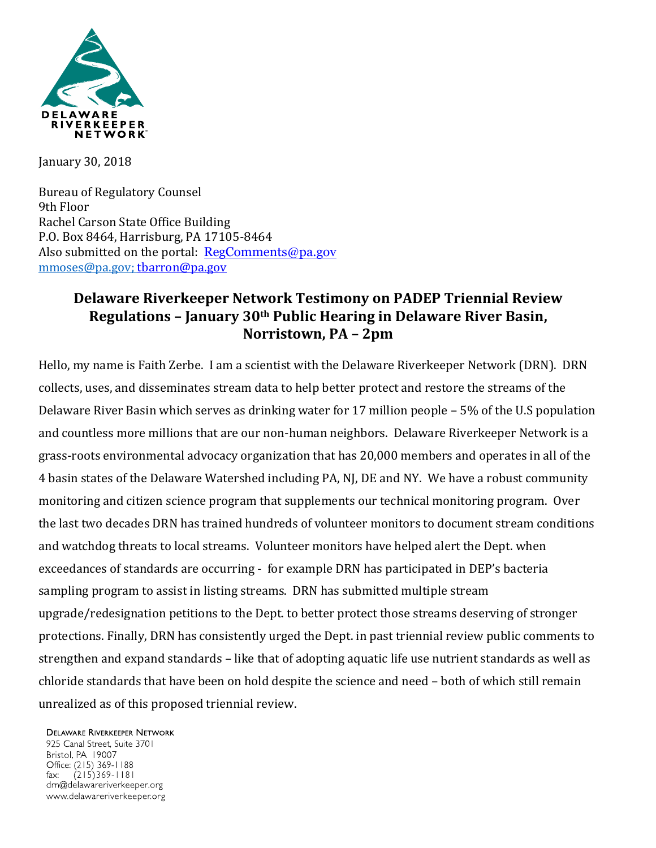

January 30, 2018

Bureau of Regulatory Counsel 9th Floor Rachel Carson State Office Building P.O. Box 8464, Harrisburg, PA 17105-8464 Also submitted on the portal:  $RegComments@pa.gov$ [mmoses@pa.gov;](mailto:mmoses@pa.gov) [tbarron@pa.gov](mailto:tbarron@pa.gov)

## **Delaware Riverkeeper Network Testimony on PADEP Triennial Review Regulations – January 30th Public Hearing in Delaware River Basin, Norristown, PA – 2pm**

Hello, my name is Faith Zerbe. I am a scientist with the Delaware Riverkeeper Network (DRN). DRN collects, uses, and disseminates stream data to help better protect and restore the streams of the Delaware River Basin which serves as drinking water for 17 million people – 5% of the U.S population and countless more millions that are our non-human neighbors. Delaware Riverkeeper Network is a grass-roots environmental advocacy organization that has 20,000 members and operates in all of the 4 basin states of the Delaware Watershed including PA, NJ, DE and NY. We have a robust community monitoring and citizen science program that supplements our technical monitoring program. Over the last two decades DRN has trained hundreds of volunteer monitors to document stream conditions and watchdog threats to local streams. Volunteer monitors have helped alert the Dept. when exceedances of standards are occurring - for example DRN has participated in DEP's bacteria sampling program to assist in listing streams. DRN has submitted multiple stream upgrade/redesignation petitions to the Dept. to better protect those streams deserving of stronger protections. Finally, DRN has consistently urged the Dept. in past triennial review public comments to strengthen and expand standards – like that of adopting aquatic life use nutrient standards as well as chloride standards that have been on hold despite the science and need – both of which still remain unrealized as of this proposed triennial review.

## **DELAWARE RIVERKEEPER NETWORK**

925 Canal Street, Suite 3701 Bristol, PA 19007 Office: (215) 369-1188  $(215)369 - 1181$ fax: drn@delawareriverkeeper.org www.delawareriverkeeper.org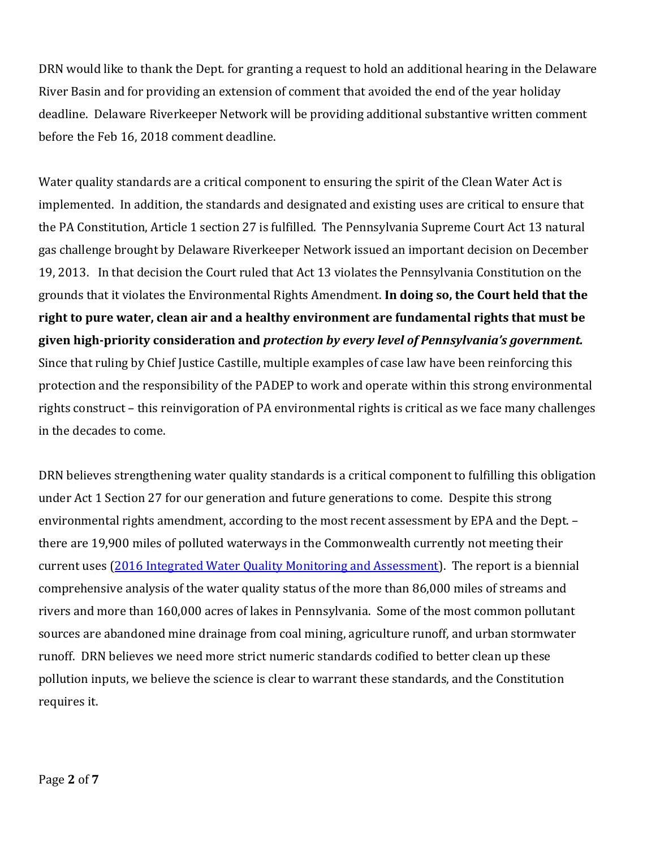DRN would like to thank the Dept. for granting a request to hold an additional hearing in the Delaware River Basin and for providing an extension of comment that avoided the end of the year holiday deadline. Delaware Riverkeeper Network will be providing additional substantive written comment before the Feb 16, 2018 comment deadline.

Water quality standards are a critical component to ensuring the spirit of the Clean Water Act is implemented. In addition, the standards and designated and existing uses are critical to ensure that the PA Constitution, Article 1 section 27 is fulfilled. The Pennsylvania Supreme Court Act 13 natural gas challenge brought by Delaware Riverkeeper Network issued an important decision on December 19, 2013. In that decision the Court ruled that Act 13 violates the Pennsylvania Constitution on the grounds that it violates the Environmental Rights Amendment. **In doing so, the Court held that the right to pure water, clean air and a healthy environment are fundamental rights that must be given high-priority consideration and** *protection by every level of Pennsylvania's government.* Since that ruling by Chief Justice Castille, multiple examples of case law have been reinforcing this protection and the responsibility of the PADEP to work and operate within this strong environmental rights construct – this reinvigoration of PA environmental rights is critical as we face many challenges in the decades to come.

DRN believes strengthening water quality standards is a critical component to fulfilling this obligation under Act 1 Section 27 for our generation and future generations to come. Despite this strong environmental rights amendment, according to the most recent assessment by EPA and the Dept. – there are 19,900 miles of polluted waterways in the Commonwealth currently not meeting their current uses [\(2016 Integrated Water Quality Monitoring and Assessment\)](http://www.dep.pa.gov/Business/Water/CleanWater/WaterQuality/Integrated%20Water%20Quality%20Report-2016/Pages/default.aspx). The report is a biennial comprehensive analysis of the water quality status of the more than 86,000 miles of streams and rivers and more than 160,000 acres of lakes in Pennsylvania. Some of the most common pollutant sources are abandoned mine drainage from coal mining, agriculture runoff, and urban stormwater runoff. DRN believes we need more strict numeric standards codified to better clean up these pollution inputs, we believe the science is clear to warrant these standards, and the Constitution requires it.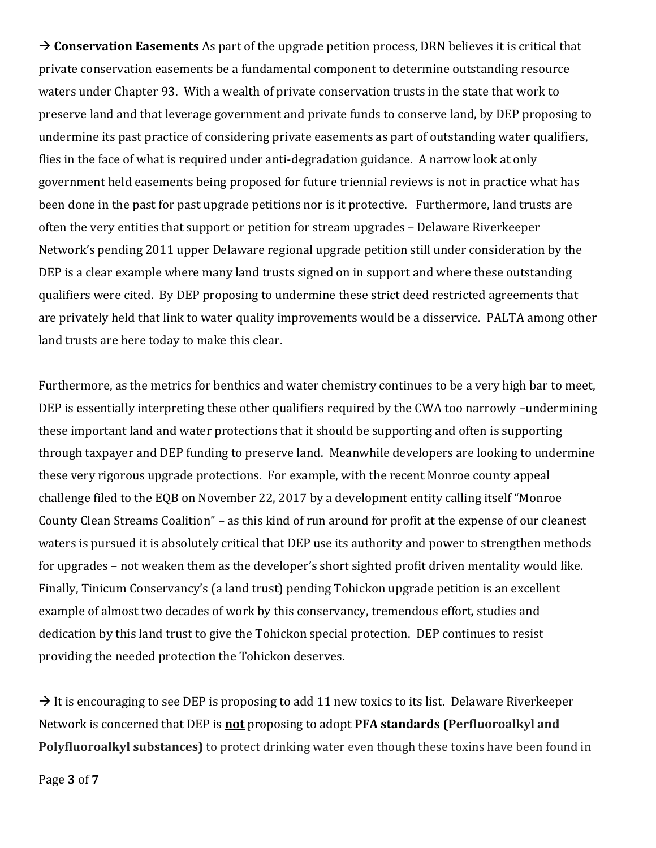→ **Conservation Easements** As part of the upgrade petition process, DRN believes it is critical that private conservation easements be a fundamental component to determine outstanding resource waters under Chapter 93. With a wealth of private conservation trusts in the state that work to preserve land and that leverage government and private funds to conserve land, by DEP proposing to undermine its past practice of considering private easements as part of outstanding water qualifiers, flies in the face of what is required under anti-degradation guidance. A narrow look at only government held easements being proposed for future triennial reviews is not in practice what has been done in the past for past upgrade petitions nor is it protective. Furthermore, land trusts are often the very entities that support or petition for stream upgrades – Delaware Riverkeeper Network's pending 2011 upper Delaware regional upgrade petition still under consideration by the DEP is a clear example where many land trusts signed on in support and where these outstanding qualifiers were cited. By DEP proposing to undermine these strict deed restricted agreements that are privately held that link to water quality improvements would be a disservice. PALTA among other land trusts are here today to make this clear.

Furthermore, as the metrics for benthics and water chemistry continues to be a very high bar to meet, DEP is essentially interpreting these other qualifiers required by the CWA too narrowly –undermining these important land and water protections that it should be supporting and often is supporting through taxpayer and DEP funding to preserve land. Meanwhile developers are looking to undermine these very rigorous upgrade protections. For example, with the recent Monroe county appeal challenge filed to the EQB on November 22, 2017 by a development entity calling itself "Monroe County Clean Streams Coalition" – as this kind of run around for profit at the expense of our cleanest waters is pursued it is absolutely critical that DEP use its authority and power to strengthen methods for upgrades – not weaken them as the developer's short sighted profit driven mentality would like. Finally, Tinicum Conservancy's (a land trust) pending Tohickon upgrade petition is an excellent example of almost two decades of work by this conservancy, tremendous effort, studies and dedication by this land trust to give the Tohickon special protection. DEP continues to resist providing the needed protection the Tohickon deserves.

 $\rightarrow$  It is encouraging to see DEP is proposing to add 11 new toxics to its list. Delaware Riverkeeper Network is concerned that DEP is **not** proposing to adopt **PFA standards (Perfluoroalkyl and Polyfluoroalkyl substances)** to protect drinking water even though these toxins have been found in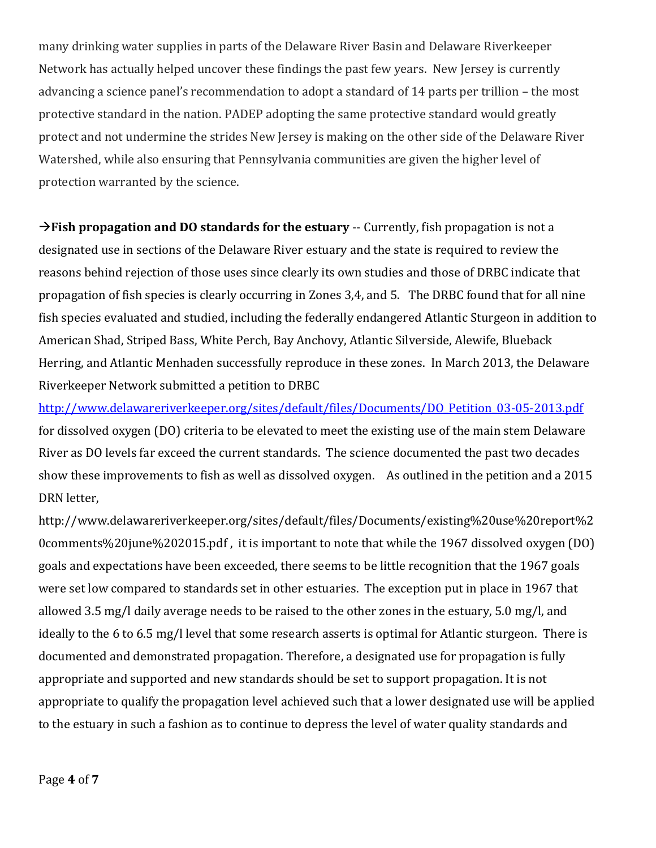many drinking water supplies in parts of the Delaware River Basin and Delaware Riverkeeper Network has actually helped uncover these findings the past few years. New Jersey is currently advancing a science panel's recommendation to adopt a standard of 14 parts per trillion – the most protective standard in the nation. PADEP adopting the same protective standard would greatly protect and not undermine the strides New Jersey is making on the other side of the Delaware River Watershed, while also ensuring that Pennsylvania communities are given the higher level of protection warranted by the science.

**Fish propagation and DO standards for the estuary** -- Currently, fish propagation is not a designated use in sections of the Delaware River estuary and the state is required to review the reasons behind rejection of those uses since clearly its own studies and those of DRBC indicate that propagation of fish species is clearly occurring in Zones 3,4, and 5. The DRBC found that for all nine fish species evaluated and studied, including the federally endangered Atlantic Sturgeon in addition to American Shad, Striped Bass, White Perch, Bay Anchovy, Atlantic Silverside, Alewife, Blueback Herring, and Atlantic Menhaden successfully reproduce in these zones. In March 2013, the Delaware Riverkeeper Network submitted a petition to DRBC

[http://www.delawareriverkeeper.org/sites/default/files/Documents/DO\\_Petition\\_03-05-2013.pdf](http://www.delawareriverkeeper.org/sites/default/files/Documents/DO_Petition_03-05-2013.pdf) for dissolved oxygen (DO) criteria to be elevated to meet the existing use of the main stem Delaware River as DO levels far exceed the current standards. The science documented the past two decades show these improvements to fish as well as dissolved oxygen. As outlined in the petition and a 2015 DRN letter,

http://www.delawareriverkeeper.org/sites/default/files/Documents/existing%20use%20report%2 0comments%20june%202015.pdf , it is important to note that while the 1967 dissolved oxygen (DO) goals and expectations have been exceeded, there seems to be little recognition that the 1967 goals were set low compared to standards set in other estuaries. The exception put in place in 1967 that allowed 3.5 mg/l daily average needs to be raised to the other zones in the estuary, 5.0 mg/l, and ideally to the 6 to 6.5 mg/l level that some research asserts is optimal for Atlantic sturgeon. There is documented and demonstrated propagation. Therefore, a designated use for propagation is fully appropriate and supported and new standards should be set to support propagation. It is not appropriate to qualify the propagation level achieved such that a lower designated use will be applied to the estuary in such a fashion as to continue to depress the level of water quality standards and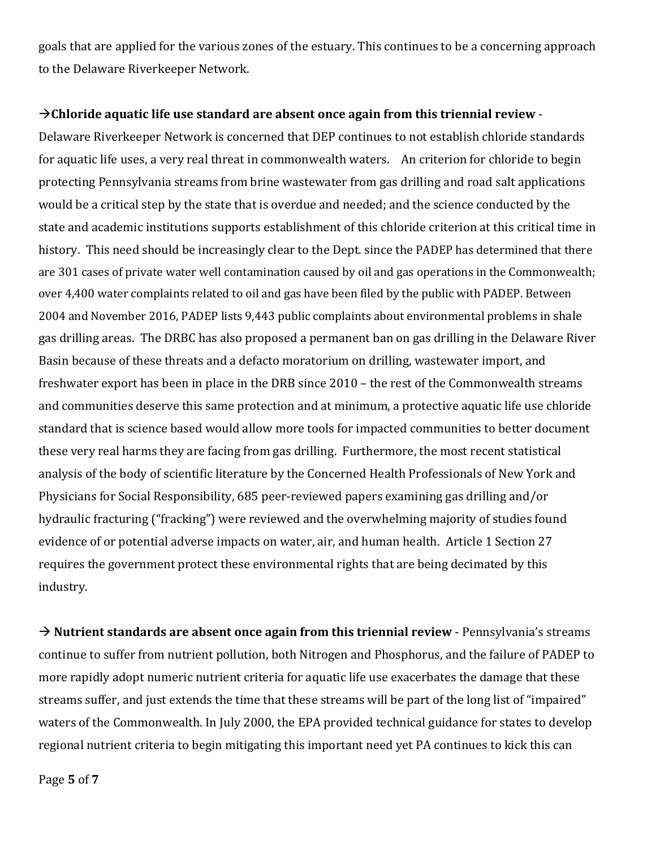goals that are applied for the various zones of the estuary. This continues to be a concerning approach to the Delaware Riverkeeper Network.

## **Chloride aquatic life use standard are absent once again from this triennial review** -

Delaware Riverkeeper Network is concerned that DEP continues to not establish chloride standards for aquatic life uses, a very real threat in commonwealth waters. An criterion for chloride to begin protecting Pennsylvania streams from brine wastewater from gas drilling and road salt applications would be a critical step by the state that is overdue and needed; and the science conducted by the state and academic institutions supports establishment of this chloride criterion at this critical time in history. This need should be increasingly clear to the Dept. since the PADEP has determined that there are 301 cases of private water well contamination caused by oil and gas operations in the Commonwealth; over 4,400 water complaints related to oil and gas have been filed by the public with PADEP. Between 2004 and November 2016, PADEP lists 9,443 public complaints about environmental problems in shale gas drilling areas. The DRBC has also proposed a permanent ban on gas drilling in the Delaware River Basin because of these threats and a defacto moratorium on drilling, wastewater import, and freshwater export has been in place in the DRB since 2010 – the rest of the Commonwealth streams and communities deserve this same protection and at minimum, a protective aquatic life use chloride standard that is science based would allow more tools for impacted communities to better document these very real harms they are facing from gas drilling. Furthermore, the most recent statistical analysis of the body of scientific literature by the Concerned Health Professionals of New York and Physicians for Social Responsibility, 685 peer-reviewed papers examining gas drilling and/or hydraulic fracturing ("fracking") were reviewed and the overwhelming majority of studies found evidence of or potential adverse impacts on water, air, and human health. Article 1 Section 27 requires the government protect these environmental rights that are being decimated by this industry.

 **Nutrient standards are absent once again from this triennial review** - Pennsylvania's streams continue to suffer from nutrient pollution, both Nitrogen and Phosphorus, and the failure of PADEP to more rapidly adopt numeric nutrient criteria for aquatic life use exacerbates the damage that these streams suffer, and just extends the time that these streams will be part of the long list of "impaired" waters of the Commonwealth. In July 2000, the EPA provided technical guidance for states to develop regional nutrient criteria to begin mitigating this important need yet PA continues to kick this can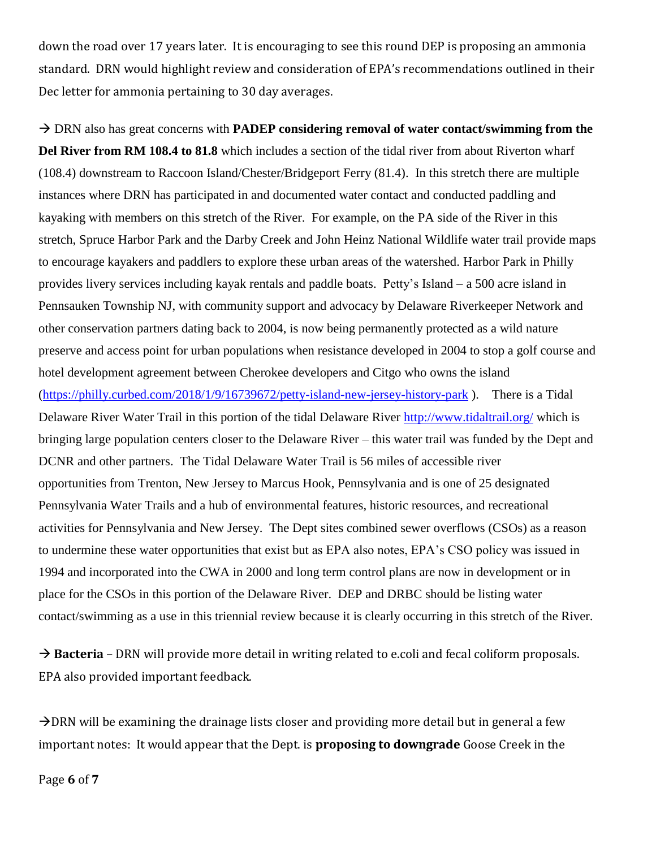down the road over 17 years later. It is encouraging to see this round DEP is proposing an ammonia standard. DRN would highlight review and consideration of EPA's recommendations outlined in their Dec letter for ammonia pertaining to 30 day averages.

 DRN also has great concerns with **PADEP considering removal of water contact/swimming from the Del River from RM 108.4 to 81.8** which includes a section of the tidal river from about Riverton wharf (108.4) downstream to Raccoon Island/Chester/Bridgeport Ferry (81.4). In this stretch there are multiple instances where DRN has participated in and documented water contact and conducted paddling and kayaking with members on this stretch of the River. For example, on the PA side of the River in this stretch, Spruce Harbor Park and the Darby Creek and John Heinz National Wildlife water trail provide maps to encourage kayakers and paddlers to explore these urban areas of the watershed. Harbor Park in Philly provides livery services including kayak rentals and paddle boats. Petty's Island – a 500 acre island in Pennsauken Township NJ, with community support and advocacy by Delaware Riverkeeper Network and other conservation partners dating back to 2004, is now being permanently protected as a wild nature preserve and access point for urban populations when resistance developed in 2004 to stop a golf course and hotel development agreement between Cherokee developers and Citgo who owns the island [\(https://philly.curbed.com/2018/1/9/16739672/petty-island-new-jersey-history-park](https://philly.curbed.com/2018/1/9/16739672/petty-island-new-jersey-history-park) ). There is a Tidal Delaware River Water Trail in this portion of the tidal Delaware River<http://www.tidaltrail.org/> which is bringing large population centers closer to the Delaware River – this water trail was funded by the Dept and DCNR and other partners. The Tidal Delaware Water Trail is 56 miles of accessible river opportunities from Trenton, New Jersey to Marcus Hook, Pennsylvania and is one of 25 designated Pennsylvania Water Trails and a hub of environmental features, historic resources, and recreational activities for Pennsylvania and New Jersey. The Dept sites combined sewer overflows (CSOs) as a reason to undermine these water opportunities that exist but as EPA also notes, EPA's CSO policy was issued in 1994 and incorporated into the CWA in 2000 and long term control plans are now in development or in place for the CSOs in this portion of the Delaware River. DEP and DRBC should be listing water contact/swimming as a use in this triennial review because it is clearly occurring in this stretch of the River.

→ **Bacteria** – DRN will provide more detail in writing related to e.coli and fecal coliform proposals. EPA also provided important feedback.

 $\rightarrow$  DRN will be examining the drainage lists closer and providing more detail but in general a few important notes: It would appear that the Dept. is **proposing to downgrade** Goose Creek in the